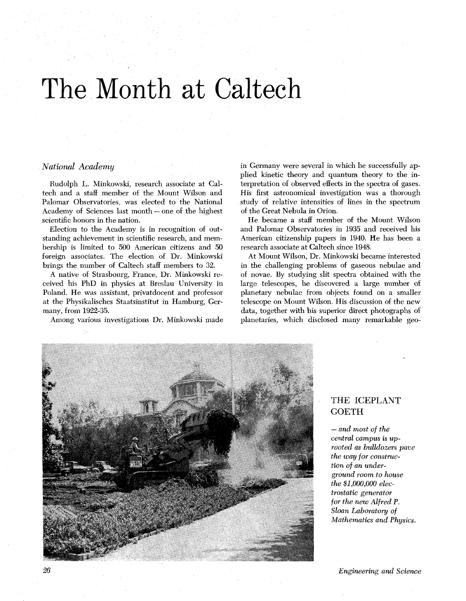# he Month at Caltech

## *National Academy*

Rudolph L. Minkowski, research associate at Caltech and a staff member of the Mount Wilson and Palomar Observatories, was elected to the National Academy of Sciences last month - one of the highest scientific honors in the nation.

Election to the Academy is in recognition of outstanding achievement in scientific research, and membership is limited to 500 American citizens and 50 foreign associates. The election of Dr. Minkowski brings the number of Caltech staff members to 32.

A native of Strasbourg, France, Dr. Minkowski received his PhD in physics at Breslau University in Poland. He was assistant, privatdocent and professor at the Physikalisches Staatsinstitut in Hamburg, Germany, from 1922-35.

Among various investigations Dr. Minkowski made

in Germany were several in which he successfully applied kinetic theory and quantum theory to the interpretation of observed effects in the spectra of gases. His first astronomical investigation was a thorough study of relative intensities of lines in the spectrum of the Great Nebula in Orion.

He became a staff member of the Mount Wilson and Palomar Observatories in 1935 and received his American citizenship papers in 1940. He has been a research associate at Caltech since 1948.

At Mount Wilson, Dr. Minkowski became interested in the challenging problems of gaseous nebulae and of novae. By studying slit spectra obtained with the large telescopes, he discovered a large number of planetary nebulae from objects found on a smaller telescope on Mount Wilson. His discussion of the new data, together with his superior direct photographs of planetaries, which disclosed many remarkable geo-



## THE ICEPLANT **GOETH**

- *and most of the central* campus **is** up*rooted as bulldozers* **pave**  *the way for construction of an underground room to house the \$1,000,000 electrostatic generator for the new Alfred P. Sloan Laboratory of Mathematics and Physics.* 

*Engineering and Science*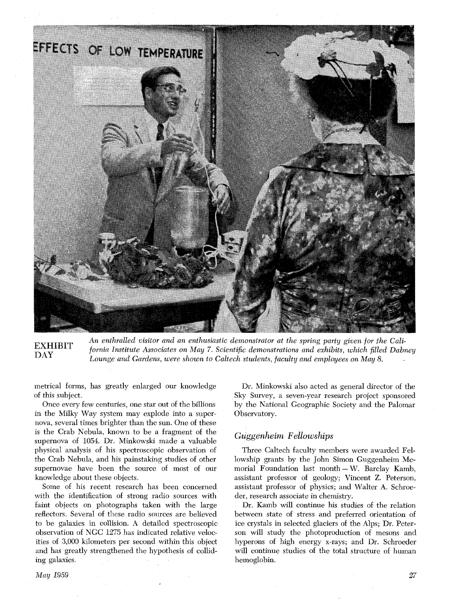

EXHIBIT An enthralled visitor and an enthusiastic demonstrator at the spring party given for the Cali-<br>DAY fornia Institute Associates on May 7. Scientific demonstrations and exhibits, which filled Dabney<br>Lounge and Garden

metrical forms, has greatly enlarged our knowledge of this subject.

Once every few centuries, one star out of the billions in the Milky Way system may explode into a supernova, several times brighter than the sun. One of these is the Crab Nebula, known to be a fragment of the supernova of 1054. Dr. Minkowski made a valuable physical analysis of his spectroscopic observation of the Crab Nebula, and his painstaking studies of other supernovae have been the source of most of our knowledge about these objects.

Some of his recent research has been concerned with the identification of strong radio sources with faint objects on photographs taken with the large reflectors. Several of these radio sources are believed to be galaxies in collision. A detailed spectroscopic observation of NGC 1275 has indicated relative velocities of 3,000 kilometers per second within this object and has greatly strengthened the hypothesis of colliding galaxies.

Dr. Minkowski also acted as general director of the Sky Survey, a seven-year research project sponsored by the National Geographic Society and the Palomar Observatory.

# *Guggenheim Fellowships*

Three Caltech faculty members were awarded Fellowship grants by the John Simon Guggenheim Memorial Foundation last month  $-W$ . Barclay Kamb, assistant professor of geology; Vincent Z. Peterson, assistant professor of physics; and Walter A. Schroeder, research associate in chemistry.

Dr. Kamb will continue his studies of the relation between state of stress and preferred orientation of ice crystals in selected glaciers of the Alps; Dr. Peterson will study the photoproduction of mesons and hyperons of high energy x-rays; and Dr. Schroeder will continue studies of the total structure of human hemoglobin.